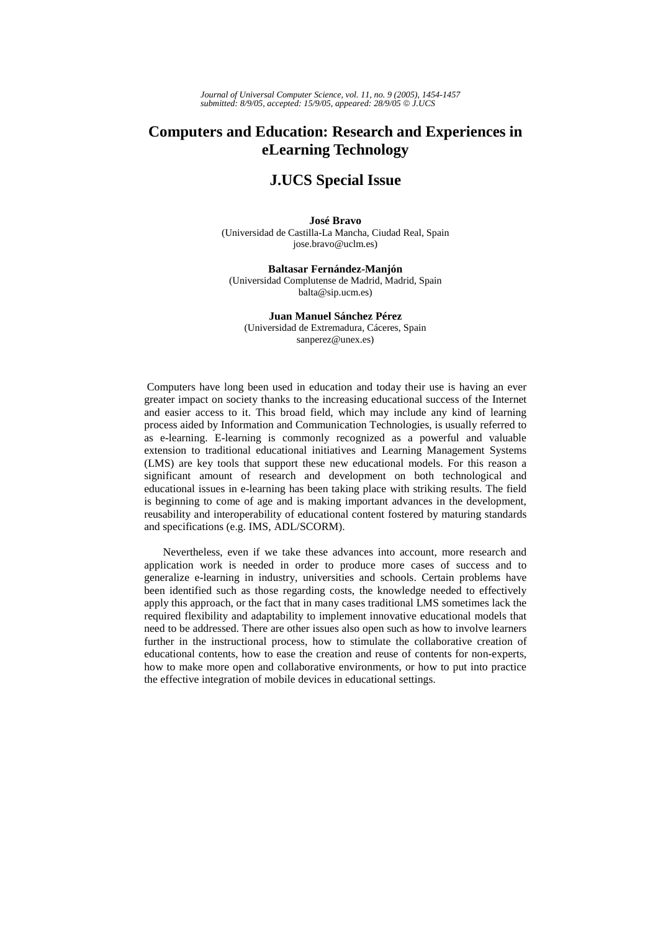## **Computers and Education: Research and Experiences in eLearning Technology**

## **J.UCS Special Issue**

**José Bravo**  (Universidad de Castilla-La Mancha, Ciudad Real, Spain jose.bravo@uclm.es)

## **Baltasar Fernández-Manjón**

(Universidad Complutense de Madrid, Madrid, Spain balta@sip.ucm.es)

## **Juan Manuel Sánchez Pérez**

(Universidad de Extremadura, Cáceres, Spain sanperez@unex.es)

 Computers have long been used in education and today their use is having an ever greater impact on society thanks to the increasing educational success of the Internet and easier access to it. This broad field, which may include any kind of learning process aided by Information and Communication Technologies, is usually referred to as e-learning. E-learning is commonly recognized as a powerful and valuable extension to traditional educational initiatives and Learning Management Systems (LMS) are key tools that support these new educational models. For this reason a significant amount of research and development on both technological and educational issues in e-learning has been taking place with striking results. The field is beginning to come of age and is making important advances in the development, reusability and interoperability of educational content fostered by maturing standards and specifications (e.g. IMS, ADL/SCORM).

Nevertheless, even if we take these advances into account, more research and application work is needed in order to produce more cases of success and to generalize e-learning in industry, universities and schools. Certain problems have been identified such as those regarding costs, the knowledge needed to effectively apply this approach, or the fact that in many cases traditional LMS sometimes lack the required flexibility and adaptability to implement innovative educational models that need to be addressed. There are other issues also open such as how to involve learners further in the instructional process, how to stimulate the collaborative creation of educational contents, how to ease the creation and reuse of contents for non-experts, how to make more open and collaborative environments, or how to put into practice the effective integration of mobile devices in educational settings.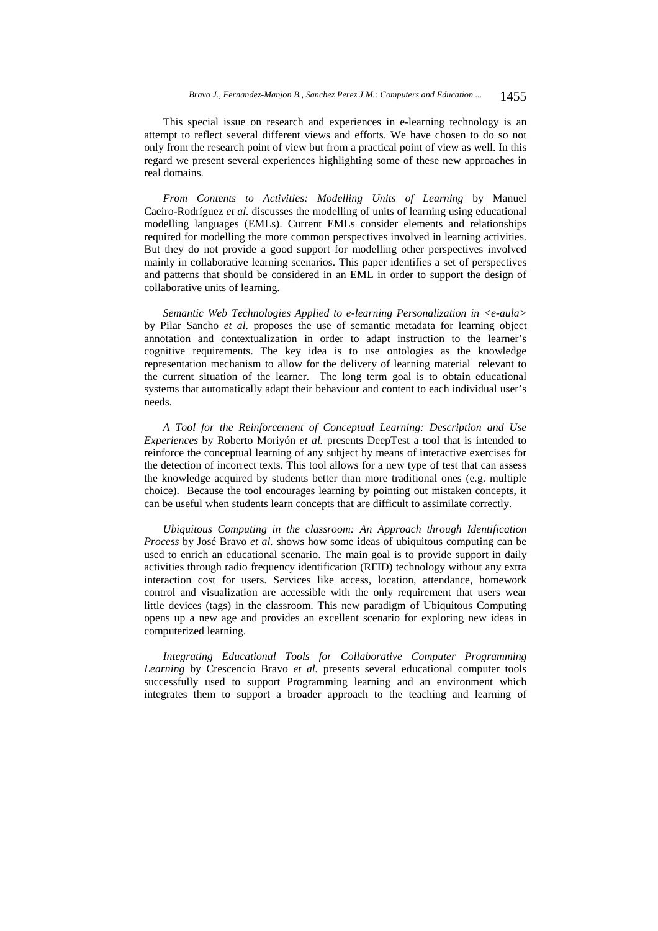This special issue on research and experiences in e-learning technology is an attempt to reflect several different views and efforts. We have chosen to do so not only from the research point of view but from a practical point of view as well. In this regard we present several experiences highlighting some of these new approaches in real domains.

*From Contents to Activities: Modelling Units of Learning* by Manuel Caeiro-Rodríguez *et al.* discusses the modelling of units of learning using educational modelling languages (EMLs). Current EMLs consider elements and relationships required for modelling the more common perspectives involved in learning activities. But they do not provide a good support for modelling other perspectives involved mainly in collaborative learning scenarios. This paper identifies a set of perspectives and patterns that should be considered in an EML in order to support the design of collaborative units of learning.

*Semantic Web Technologies Applied to e-learning Personalization in <e-aula>* by Pilar Sancho *et al.* proposes the use of semantic metadata for learning object annotation and contextualization in order to adapt instruction to the learner's cognitive requirements. The key idea is to use ontologies as the knowledge representation mechanism to allow for the delivery of learning material relevant to the current situation of the learner. The long term goal is to obtain educational systems that automatically adapt their behaviour and content to each individual user's needs.

*A Tool for the Reinforcement of Conceptual Learning: Description and Use Experiences* by Roberto Moriyón *et al.* presents DeepTest a tool that is intended to reinforce the conceptual learning of any subject by means of interactive exercises for the detection of incorrect texts. This tool allows for a new type of test that can assess the knowledge acquired by students better than more traditional ones (e.g. multiple choice). Because the tool encourages learning by pointing out mistaken concepts, it can be useful when students learn concepts that are difficult to assimilate correctly.

*Ubiquitous Computing in the classroom: An Approach through Identification Process* by José Bravo *et al.* shows how some ideas of ubiquitous computing can be used to enrich an educational scenario. The main goal is to provide support in daily activities through radio frequency identification (RFID) technology without any extra interaction cost for users. Services like access, location, attendance, homework control and visualization are accessible with the only requirement that users wear little devices (tags) in the classroom. This new paradigm of Ubiquitous Computing opens up a new age and provides an excellent scenario for exploring new ideas in computerized learning.

*Integrating Educational Tools for Collaborative Computer Programming Learning* by Crescencio Bravo *et al.* presents several educational computer tools successfully used to support Programming learning and an environment which integrates them to support a broader approach to the teaching and learning of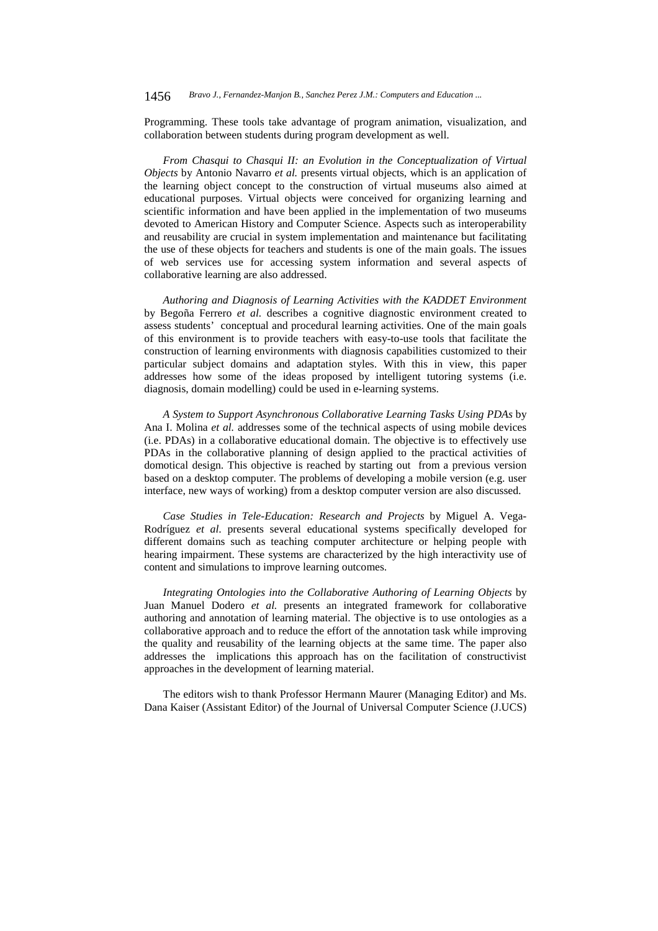1456 *Bravo J., Fernandez-Manjon B., Sanchez Perez J.M.: Computers and Education ...*

Programming. These tools take advantage of program animation, visualization, and collaboration between students during program development as well.

*From Chasqui to Chasqui II: an Evolution in the Conceptualization of Virtual Objects* by Antonio Navarro *et al.* presents virtual objects, which is an application of the learning object concept to the construction of virtual museums also aimed at educational purposes. Virtual objects were conceived for organizing learning and scientific information and have been applied in the implementation of two museums devoted to American History and Computer Science. Aspects such as interoperability and reusability are crucial in system implementation and maintenance but facilitating the use of these objects for teachers and students is one of the main goals. The issues of web services use for accessing system information and several aspects of collaborative learning are also addressed.

*Authoring and Diagnosis of Learning Activities with the KADDET Environment*  by Begoña Ferrero *et al.* describes a cognitive diagnostic environment created to assess students' conceptual and procedural learning activities. One of the main goals of this environment is to provide teachers with easy-to-use tools that facilitate the construction of learning environments with diagnosis capabilities customized to their particular subject domains and adaptation styles. With this in view, this paper addresses how some of the ideas proposed by intelligent tutoring systems (i.e. diagnosis, domain modelling) could be used in e-learning systems.

*A System to Support Asynchronous Collaborative Learning Tasks Using PDAs* by Ana I. Molina *et al.* addresses some of the technical aspects of using mobile devices (i.e. PDAs) in a collaborative educational domain. The objective is to effectively use PDAs in the collaborative planning of design applied to the practical activities of domotical design. This objective is reached by starting out from a previous version based on a desktop computer. The problems of developing a mobile version (e.g. user interface, new ways of working) from a desktop computer version are also discussed.

*Case Studies in Tele-Education: Research and Projects* by Miguel A. Vega-Rodríguez *et al*. presents several educational systems specifically developed for different domains such as teaching computer architecture or helping people with hearing impairment. These systems are characterized by the high interactivity use of content and simulations to improve learning outcomes.

*Integrating Ontologies into the Collaborative Authoring of Learning Objects* by Juan Manuel Dodero *et al.* presents an integrated framework for collaborative authoring and annotation of learning material. The objective is to use ontologies as a collaborative approach and to reduce the effort of the annotation task while improving the quality and reusability of the learning objects at the same time. The paper also addresses the implications this approach has on the facilitation of constructivist approaches in the development of learning material.

The editors wish to thank Professor Hermann Maurer (Managing Editor) and Ms. Dana Kaiser (Assistant Editor) of the Journal of Universal Computer Science (J.UCS)